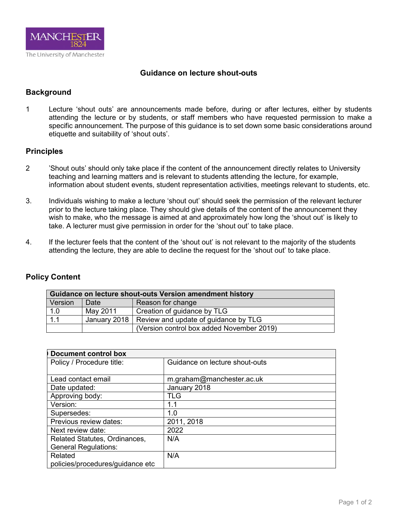

## **Guidance on lecture shout-outs**

## **Background**

1 Lecture 'shout outs' are announcements made before, during or after lectures, either by students attending the lecture or by students, or staff members who have requested permission to make a specific announcement. The purpose of this guidance is to set down some basic considerations around etiquette and suitability of 'shout outs'.

## **Principles**

- 2 'Shout outs' should only take place if the content of the announcement directly relates to University teaching and learning matters and is relevant to students attending the lecture, for example, information about student events, student representation activities, meetings relevant to students, etc.
- 3. Individuals wishing to make a lecture 'shout out' should seek the permission of the relevant lecturer prior to the lecture taking place. They should give details of the content of the announcement they wish to make, who the message is aimed at and approximately how long the 'shout out' is likely to take. A lecturer must give permission in order for the 'shout out' to take place.
- 4. If the lecturer feels that the content of the 'shout out' is not relevant to the majority of the students attending the lecture, they are able to decline the request for the 'shout out' to take place.

## **Policy Content**

| Guidance on lecture shout-outs Version amendment history |          |                                                     |  |  |
|----------------------------------------------------------|----------|-----------------------------------------------------|--|--|
| Version                                                  | Date     | Reason for change                                   |  |  |
| 1.0                                                      | May 2011 | Creation of guidance by TLG                         |  |  |
| 1.1                                                      |          | January 2018   Review and update of guidance by TLG |  |  |
|                                                          |          | (Version control box added November 2019)           |  |  |

| <b>Document control box</b>      |                                |  |  |  |
|----------------------------------|--------------------------------|--|--|--|
| Policy / Procedure title:        | Guidance on lecture shout-outs |  |  |  |
|                                  |                                |  |  |  |
| Lead contact email               | m.graham@manchester.ac.uk      |  |  |  |
| Date updated:                    | January 2018                   |  |  |  |
| Approving body:                  | <b>TLG</b>                     |  |  |  |
| Version:                         | 1.1                            |  |  |  |
| Supersedes:                      | 1.0                            |  |  |  |
| Previous review dates:           | 2011, 2018                     |  |  |  |
| Next review date:                | 2022                           |  |  |  |
| Related Statutes, Ordinances,    | N/A                            |  |  |  |
| <b>General Regulations:</b>      |                                |  |  |  |
| Related                          | N/A                            |  |  |  |
| policies/procedures/guidance etc |                                |  |  |  |